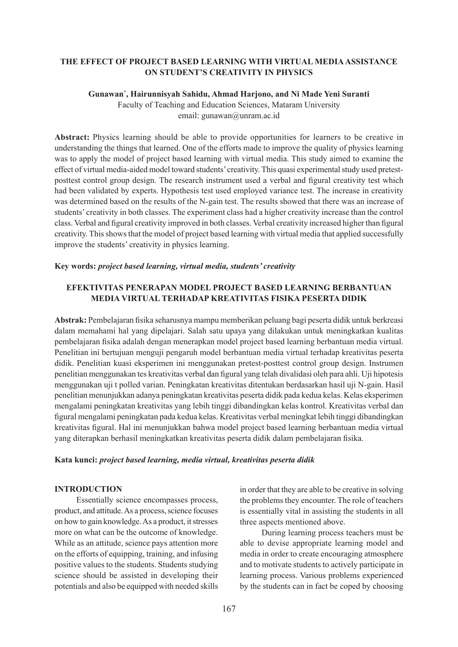## **THE EFFECT OF PROJECT BASED LEARNING WITH VIRTUAL MEDIA ASSISTANCE ON STUDENT'S CREATIVITY IN PHYSICS**

### **Gunawan\* , Hairunnisyah Sahidu, Ahmad Harjono, and Ni Made Yeni Suranti**

Faculty of Teaching and Education Sciences, Mataram University email: gunawan@unram.ac.id

**Abstract:** Physics learning should be able to provide opportunities for learners to be creative in understanding the things that learned. One of the efforts made to improve the quality of physics learning was to apply the model of project based learning with virtual media. This study aimed to examine the effect of virtual media-aided model toward students' creativity. This quasi experimental study used pretestposttest control group design. The research instrument used a verbal and figural creativity test which had been validated by experts. Hypothesis test used employed variance test. The increase in creativity was determined based on the results of the N-gain test. The results showed that there was an increase of students' creativity in both classes. The experiment class had a higher creativity increase than the control class. Verbal and figural creativity improved in both classes. Verbal creativity increased higher than figural creativity. This shows that the model of project based learning with virtual media that applied successfully improve the students' creativity in physics learning.

### **Key words:** *project based learning, virtual media, students' creativity*

# **EFEKTIVITAS PENERAPAN MODEL PROJECT BASED LEARNING BERBANTUAN MEDIA VIRTUAL TERHADAP KREATIVITAS FISIKA PESERTA DIDIK**

**Abstrak:** Pembelajaran fisika seharusnya mampu memberikan peluang bagi peserta didik untuk berkreasi dalam memahami hal yang dipelajari. Salah satu upaya yang dilakukan untuk meningkatkan kualitas pembelajaran fisika adalah dengan menerapkan model project based learning berbantuan media virtual. Penelitian ini bertujuan menguji pengaruh model berbantuan media virtual terhadap kreativitas peserta didik. Penelitian kuasi eksperimen ini menggunakan pretest-posttest control group design. Instrumen penelitian menggunakan tes kreativitas verbal dan figural yang telah divalidasi oleh para ahli. Uji hipotesis menggunakan uji t polled varian. Peningkatan kreativitas ditentukan berdasarkan hasil uji N-gain. Hasil penelitian menunjukkan adanya peningkatan kreativitas peserta didik pada kedua kelas. Kelas eksperimen mengalami peningkatan kreativitas yang lebih tinggi dibandingkan kelas kontrol. Kreativitas verbal dan figural mengalami peningkatan pada kedua kelas. Kreativitas verbal meningkat lebih tinggi dibandingkan kreativitas figural. Hal ini menunjukkan bahwa model project based learning berbantuan media virtual yang diterapkan berhasil meningkatkan kreativitas peserta didik dalam pembelajaran fisika.

### **Kata kunci:** *project based learning, media virtual, kreativitas peserta didik*

#### **INTRODUCTION**

Essentially science encompasses process, product, and attitude. As a process, science focuses on how to gain knowledge. As a product, it stresses more on what can be the outcome of knowledge. While as an attitude, science pays attention more on the efforts of equipping, training, and infusing positive values to the students. Students studying science should be assisted in developing their potentials and also be equipped with needed skills in order that they are able to be creative in solving the problems they encounter. The role of teachers is essentially vital in assisting the students in all three aspects mentioned above.

During learning process teachers must be able to devise appropriate learning model and media in order to create encouraging atmosphere and to motivate students to actively participate in learning process. Various problems experienced by the students can in fact be coped by choosing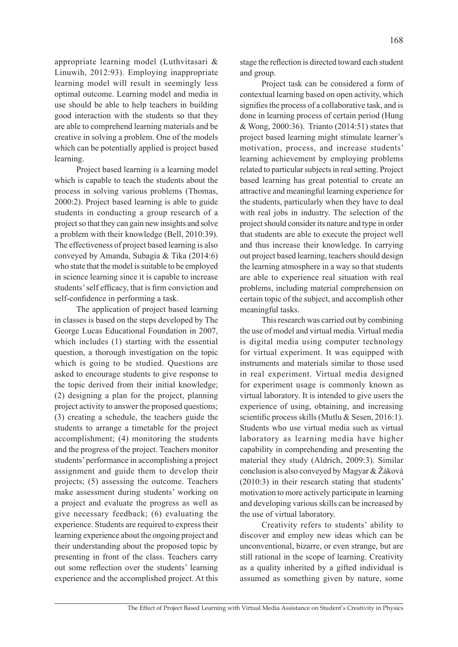appropriate learning model (Luthvitasari & Linuwih, 2012:93). Employing inappropriate learning model will result in seemingly less optimal outcome. Learning model and media in use should be able to help teachers in building good interaction with the students so that they are able to comprehend learning materials and be creative in solving a problem. One of the models which can be potentially applied is project based learning.

Project based learning is a learning model which is capable to teach the students about the process in solving various problems (Thomas, 2000:2). Project based learning is able to guide students in conducting a group research of a project so that they can gain new insights and solve a problem with their knowledge (Bell, 2010:39). The effectiveness of project based learning is also conveyed by Amanda, Subagia & Tika (2014:6) who state that the model is suitable to be employed in science learning since it is capable to increase students' self efficacy, that is firm conviction and self-confidence in performing a task.

The application of project based learning in classes is based on the steps developed by The George Lucas Educational Foundation in 2007, which includes (1) starting with the essential question, a thorough investigation on the topic which is going to be studied. Questions are asked to encourage students to give response to the topic derived from their initial knowledge; (2) designing a plan for the project, planning project activity to answer the proposed questions; (3) creating a schedule, the teachers guide the students to arrange a timetable for the project accomplishment; (4) monitoring the students and the progress of the project. Teachers monitor students' performance in accomplishing a project assignment and guide them to develop their projects; (5) assessing the outcome. Teachers make assessment during students' working on a project and evaluate the progress as well as give necessary feedback; (6) evaluating the experience. Students are required to express their learning experience about the ongoing project and their understanding about the proposed topic by presenting in front of the class. Teachers carry out some reflection over the students' learning experience and the accomplished project. At this stage the reflection is directed toward each student and group.

Project task can be considered a form of contextual learning based on open activity, which signifies the process of a collaborative task, and is done in learning process of certain period (Hung & Wong, 2000:36). Trianto (2014:51) states that project based learning might stimulate learner's motivation, process, and increase students' learning achievement by employing problems related to particular subjects in real setting. Project based learning has great potential to create an attractive and meaningful learning experience for the students, particularly when they have to deal with real jobs in industry. The selection of the project should consider its nature and type in order that students are able to execute the project well and thus increase their knowledge. In carrying out project based learning, teachers should design the learning atmosphere in a way so that students are able to experience real situation with real problems, including material comprehension on certain topic of the subject, and accomplish other meaningful tasks.

This research was carried out by combining the use of model and virtual media. Virtual media is digital media using computer technology for virtual experiment. It was equipped with instruments and materials similar to those used in real experiment. Virtual media designed for experiment usage is commonly known as virtual laboratory. It is intended to give users the experience of using, obtaining, and increasing scientific process skills (Mutlu & Sesen, 2016:1). Students who use virtual media such as virtual laboratory as learning media have higher capability in comprehending and presenting the material they study (Aldrich, 2009:3). Similar conclusion is also conveyed by Magyar & Žáková (2010:3) in their research stating that students' motivation to more actively participate in learning and developing various skills can be increased by the use of virtual laboratory.

Creativity refers to students' ability to discover and employ new ideas which can be unconventional, bizarre, or even strange, but are still rational in the scope of learning. Creativity as a quality inherited by a gifted individual is assumed as something given by nature, some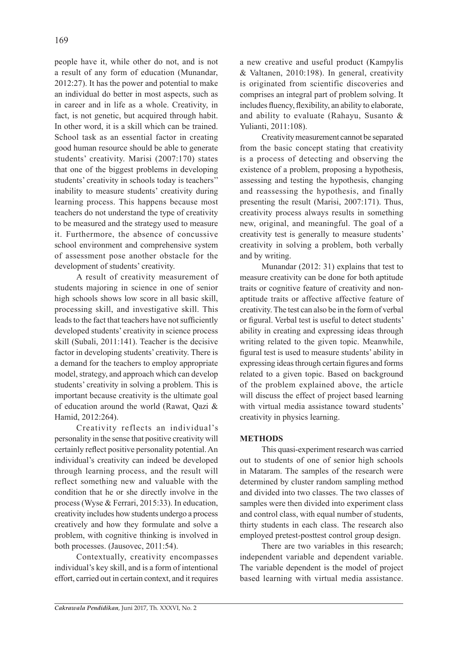people have it, while other do not, and is not a result of any form of education (Munandar, 2012:27). It has the power and potential to make an individual do better in most aspects, such as in career and in life as a whole. Creativity, in fact, is not genetic, but acquired through habit. In other word, it is a skill which can be trained. School task as an essential factor in creating good human resource should be able to generate students' creativity. Marisi (2007:170) states that one of the biggest problems in developing students' creativity in schools today is teachers'' inability to measure students' creativity during learning process. This happens because most teachers do not understand the type of creativity to be measured and the strategy used to measure it. Furthermore, the absence of concussive school environment and comprehensive system of assessment pose another obstacle for the development of students' creativity.

A result of creativity measurement of students majoring in science in one of senior high schools shows low score in all basic skill, processing skill, and investigative skill. This leads to the fact that teachers have not sufficiently developed students' creativity in science process skill (Subali, 2011:141). Teacher is the decisive factor in developing students' creativity. There is a demand for the teachers to employ appropriate model, strategy, and approach which can develop students' creativity in solving a problem. This is important because creativity is the ultimate goal of education around the world (Rawat, Qazi & Hamid, 2012:264).

Creativity reflects an individual's personality in the sense that positive creativity will certainly reflect positive personality potential. An individual's creativity can indeed be developed through learning process, and the result will reflect something new and valuable with the condition that he or she directly involve in the process (Wyse & Ferrari, 2015:33). In education, creativity includes how students undergo a process creatively and how they formulate and solve a problem, with cognitive thinking is involved in both processes. (Jausovec, 2011:54).

Contextually, creativity encompasses individual's key skill, and is a form of intentional effort, carried out in certain context, and it requires a new creative and useful product (Kampylis & Valtanen, 2010:198). In general, creativity is originated from scientific discoveries and comprises an integral part of problem solving. It includes fluency, flexibility, an ability to elaborate, and ability to evaluate (Rahayu, Susanto & Yulianti, 2011:108).

Creativity measurement cannot be separated from the basic concept stating that creativity is a process of detecting and observing the existence of a problem, proposing a hypothesis, assessing and testing the hypothesis, changing and reassessing the hypothesis, and finally presenting the result (Marisi, 2007:171). Thus, creativity process always results in something new, original, and meaningful. The goal of a creativity test is generally to measure students' creativity in solving a problem, both verbally and by writing.

Munandar (2012: 31) explains that test to measure creativity can be done for both aptitude traits or cognitive feature of creativity and nonaptitude traits or affective affective feature of creativity. The test can also be in the form of verbal or figural. Verbal test is useful to detect students' ability in creating and expressing ideas through writing related to the given topic. Meanwhile, figural test is used to measure students' ability in expressing ideas through certain figures and forms related to a given topic. Based on background of the problem explained above, the article will discuss the effect of project based learning with virtual media assistance toward students' creativity in physics learning.

# **METHODS**

This quasi-experiment research was carried out to students of one of senior high schools in Mataram. The samples of the research were determined by cluster random sampling method and divided into two classes. The two classes of samples were then divided into experiment class and control class, with equal number of students, thirty students in each class. The research also employed pretest-posttest control group design.

There are two variables in this research; independent variable and dependent variable. The variable dependent is the model of project based learning with virtual media assistance.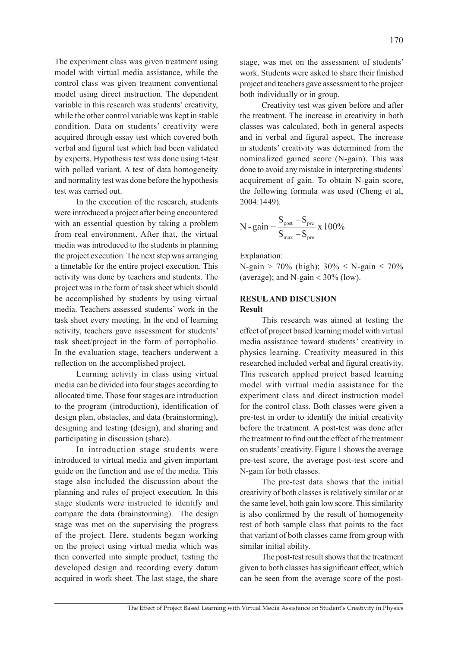The experiment class was given treatment using model with virtual media assistance, while the control class was given treatment conventional model using direct instruction. The dependent variable in this research was students' creativity, while the other control variable was kept in stable condition. Data on students' creativity were acquired through essay test which covered both verbal and figural test which had been validated by experts. Hypothesis test was done using t-test with polled variant. A test of data homogeneity and normality test was done before the hypothesis test was carried out.

In the execution of the research, students were introduced a project after being encountered with an essential question by taking a problem from real environment. After that, the virtual media was introduced to the students in planning the project execution. The next step was arranging a timetable for the entire project execution. This activity was done by teachers and students. The project was in the form of task sheet which should be accomplished by students by using virtual media. Teachers assessed students' work in the task sheet every meeting. In the end of learning activity, teachers gave assessment for students' task sheet/project in the form of portopholio. In the evaluation stage, teachers underwent a reflection on the accomplished project.

Learning activity in class using virtual media can be divided into four stages according to allocated time. Those four stages are introduction to the program (introduction), identification of design plan, obstacles, and data (brainstorming), designing and testing (design), and sharing and participating in discussion (share).

In introduction stage students were introduced to virtual media and given important guide on the function and use of the media. This stage also included the discussion about the planning and rules of project execution. In this stage students were instructed to identify and compare the data (brainstorming). The design stage was met on the supervising the progress of the project. Here, students began working on the project using virtual media which was then converted into simple product, testing the developed design and recording every datum acquired in work sheet. The last stage, the share stage, was met on the assessment of students' work. Students were asked to share their finished project and teachers gave assessment to the project both individually or in group.

Creativity test was given before and after the treatment. The increase in creativity in both classes was calculated, both in general aspects and in verbal and figural aspect. The increase in students' creativity was determined from the nominalized gained score (N-gain). This was done to avoid any mistake in interpreting students' acquirement of gain. To obtain N-gain score, the following formula was used (Cheng et al, 2004:1449).

$$
N - gain = \frac{S_{\text{post}} - S_{\text{pre}}}{S_{\text{max}} - S_{\text{pre}}} \times 100\%
$$

Explanation:

N-gain > 70% (high);  $30\% \le N$ -gain  $\le 70\%$ (average); and N-gain  $<$  30% (low).

#### **RESUL AND DISCUSION Result**

This research was aimed at testing the effect of project based learning model with virtual media assistance toward students' creativity in physics learning. Creativity measured in this researched included verbal and figural creativity. This research applied project based learning model with virtual media assistance for the experiment class and direct instruction model for the control class. Both classes were given a pre-test in order to identify the initial creativity before the treatment. A post-test was done after the treatment to find out the effect of the treatment on students' creativity. Figure 1 shows the average pre-test score, the average post-test score and N-gain for both classes.

The pre-test data shows that the initial creativity of both classes is relatively similar or at the same level, both gain low score. This similarity is also confirmed by the result of homogeneity test of both sample class that points to the fact that variant of both classes came from group with similar initial ability.

The post-test result shows that the treatment given to both classes has significant effect, which can be seen from the average score of the post-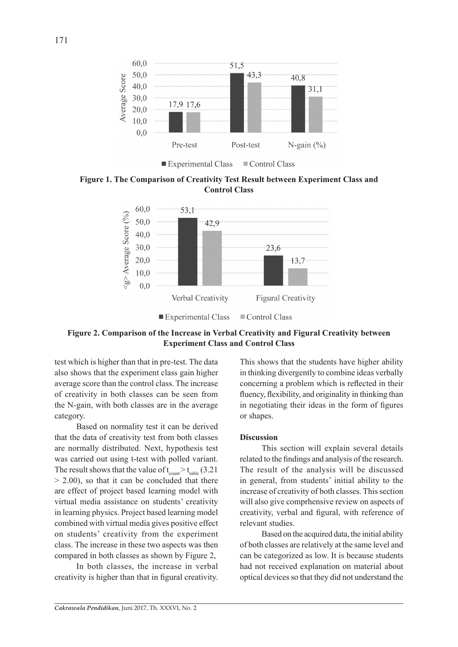

Experimental Class Control Class

**Figure 1. The Comparison of Creativity Test Result between Experiment Class and Control Class**



## **Figure 2. Comparison of the Increase in Verbal Creativity and Figural Creativity between Experiment Class and Control Class**

test which is higher than that in pre-test. The data also shows that the experiment class gain higher average score than the control class. The increase of creativity in both classes can be seen from the N-gain, with both classes are in the average category.

Based on normality test it can be derived that the data of creativity test from both classes are normally distributed. Next, hypothesis test was carried out using t-test with polled variant. The result shows that the value of  $t_{\text{count}} > t_{\text{table}}$  (3.21)  $> 2.00$ ), so that it can be concluded that there are effect of project based learning model with virtual media assistance on students' creativity in learning physics. Project based learning model combined with virtual media gives positive effect on students' creativity from the experiment class. The increase in these two aspects was then compared in both classes as shown by Figure 2,

In both classes, the increase in verbal creativity is higher than that in figural creativity. This shows that the students have higher ability in thinking divergently to combine ideas verbally concerning a problem which is reflected in their fluency, flexibility, and originality in thinking than in negotiating their ideas in the form of figures or shapes.

### **Discussion**

This section will explain several details related to the findings and analysis of the research. The result of the analysis will be discussed in general, from students' initial ability to the increase of creativity of both classes. This section will also give comprhensive review on aspects of creativity, verbal and figural, with reference of relevant studies.

Based on the acquired data, the initial ability of both classes are relatively at the same level and can be categorized as low. It is because students had not received explanation on material about optical devices so that they did not understand the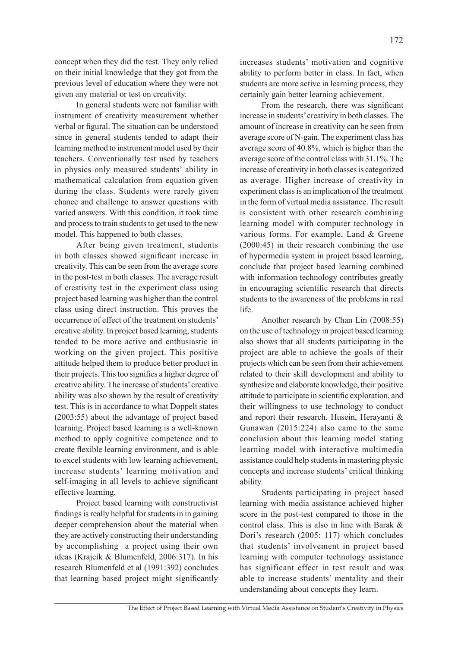concept when they did the test. They only relied on their initial knowledge that they got from the previous level of education where they were not given any material or test on creativity.

In general students were not familiar with instrument of creativity measurement whether verbal or figural. The situation can be understood since in general students tended to adapt their learning method to instrument model used by their teachers. Conventionally test used by teachers in physics only measured students' ability in mathematical calculation from equation given during the class. Students were rarely given chance and challenge to answer questions with varied answers. With this condition, it took time and process to train students to get used to the new model. This happened to both classes.

After being given treatment, students in both classes showed significant increase in creativity. This can be seen from the average score in the post-test in both classes. The average result of creativity test in the experiment class using project based learning was higher than the control class using direct instruction. This proves the occurrence of effect of the treatment on students' creative ability. In project based learning, students tended to be more active and enthusiastic in working on the given project. This positive attitude helped them to produce better product in their projects. This too signifies a higher degree of creative ability. The increase of students' creative ability was also shown by the result of creativity test. This is in accordance to what Doppelt states (2003:55) about the advantage of project based learning. Project based learning is a well-known method to apply cognitive competence and to create flexible learning environment, and is able to excel students with low learning achievement, increase students' learning motivation and self-imaging in all levels to achieve significant effective learning.

Project based learning with constructivist findings is really helpful for students in in gaining deeper comprehension about the material when they are actively constructing their understanding by accomplishing a project using their own ideas (Krajcik & Blumenfeld, 2006:317). In his research Blumenfeld et al (1991:392) concludes that learning based project might significantly increases students' motivation and cognitive ability to perform better in class. In fact, when students are more active in learning process, they certainly gain better learning achievement.

From the research, there was significant increase in students' creativity in both classes. The amount of increase in creativity can be seen from average score of N-gain. The experiment class has average score of 40.8%, which is higher than the average score of the control class with 31.1%. The increase of creativity in both classes is categorized as average. Higher increase of creativity in experiment class is an implication of the treatment in the form of virtual media assistance. The result is consistent with other research combining learning model with computer technology in various forms. For example, Land & Greene (2000:45) in their research combining the use of hypermedia system in project based learning, conclude that project based learning combined with information technology contributes greatly in encouraging scientific research that directs students to the awareness of the problems in real life.

Another research by Chan Lin (2008:55) on the use of technology in project based learning also shows that all students participating in the project are able to achieve the goals of their projects which can be seen from their achievement related to their skill development and ability to synthesize and elaborate knowledge, their positive attitude to participate in scientific exploration, and their willingness to use technology to conduct and report their research. Husein, Herayanti & Gunawan (2015:224) also came to the same conclusion about this learning model stating learning model with interactive multimedia assistance could help students in mastering physic concepts and increase students' critical thinking ability.

Students participating in project based learning with media assistance achieved higher score in the post-test compared to those in the control class. This is also in line with Barak & Dori's research (2005: 117) which concludes that students' involvement in project based learning with computer technology assistance has significant effect in test result and was able to increase students' mentality and their understanding about concepts they learn.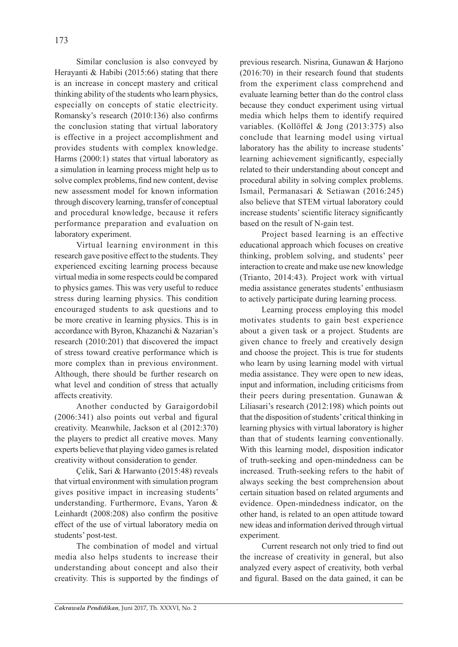Similar conclusion is also conveyed by Herayanti & Habibi (2015:66) stating that there is an increase in concept mastery and critical thinking ability of the students who learn physics, especially on concepts of static electricity. Romansky's research (2010:136) also confirms the conclusion stating that virtual laboratory is effective in a project accomplishment and provides students with complex knowledge. Harms (2000:1) states that virtual laboratory as a simulation in learning process might help us to solve complex problems, find new content, devise new assessment model for known information through discovery learning, transfer of conceptual and procedural knowledge, because it refers performance preparation and evaluation on laboratory experiment.

Virtual learning environment in this research gave positive effect to the students. They experienced exciting learning process because virtual media in some respects could be compared to physics games. This was very useful to reduce stress during learning physics. This condition encouraged students to ask questions and to be more creative in learning physics. This is in accordance with Byron, Khazanchi & Nazarian's research (2010:201) that discovered the impact of stress toward creative performance which is more complex than in previous environment. Although, there should be further research on what level and condition of stress that actually affects creativity.

Another conducted by Garaigordobil (2006:341) also points out verbal and figural creativity. Meanwhile, Jackson et al (2012:370) the players to predict all creative moves. Many experts believe that playing video games is related creativity without consideration to gender.

Çelik, Sari & Harwanto (2015:48) reveals that virtual environment with simulation program gives positive impact in increasing students' understanding. Furthermore, Evans, Yaron & Leinhardt (2008:208) also confirm the positive effect of the use of virtual laboratory media on students' post-test.

The combination of model and virtual media also helps students to increase their understanding about concept and also their creativity. This is supported by the findings of previous research. Nisrina, Gunawan & Harjono (2016:70) in their research found that students from the experiment class comprehend and evaluate learning better than do the control class because they conduct experiment using virtual media which helps them to identify required variables. (Kollöffel & Jong (2013:375) also conclude that learning model using virtual laboratory has the ability to increase students' learning achievement significantly, especially related to their understanding about concept and procedural ability in solving complex problems. Ismail, Permanasari & Setiawan (2016:245) also believe that STEM virtual laboratory could increase students' scientific literacy significantly based on the result of N-gain test.

Project based learning is an effective educational approach which focuses on creative thinking, problem solving, and students' peer interaction to create and make use new knowledge (Trianto, 2014:43). Project work with virtual media assistance generates students' enthusiasm to actively participate during learning process.

Learning process employing this model motivates students to gain best experience about a given task or a project. Students are given chance to freely and creatively design and choose the project. This is true for students who learn by using learning model with virtual media assistance. They were open to new ideas, input and information, including criticisms from their peers during presentation. Gunawan & Liliasari's research (2012:198) which points out that the disposition of students' critical thinking in learning physics with virtual laboratory is higher than that of students learning conventionally. With this learning model, disposition indicator of truth-seeking and open-mindedness can be increased. Truth-seeking refers to the habit of always seeking the best comprehension about certain situation based on related arguments and evidence. Open-mindedness indicator, on the other hand, is related to an open attitude toward new ideas and information derived through virtual experiment.

Current research not only tried to find out the increase of creativity in general, but also analyzed every aspect of creativity, both verbal and figural. Based on the data gained, it can be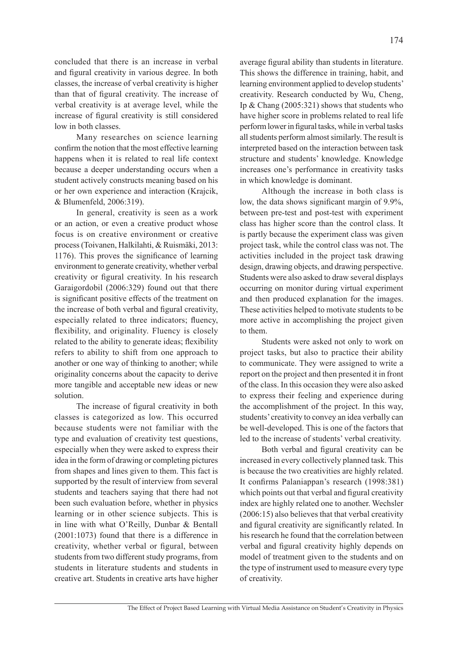concluded that there is an increase in verbal and figural creativity in various degree. In both classes, the increase of verbal creativity is higher than that of figural creativity. The increase of verbal creativity is at average level, while the

low in both classes. Many researches on science learning confirm the notion that the most effective learning happens when it is related to real life context because a deeper understanding occurs when a student actively constructs meaning based on his or her own experience and interaction (Krajcik, & Blumenfeld, 2006:319).

increase of figural creativity is still considered

In general, creativity is seen as a work or an action, or even a creative product whose focus is on creative environment or creative process (Toivanen, Halkilahti, & Ruismäki, 2013: 1176). This proves the significance of learning environment to generate creativity, whether verbal creativity or figural creativity. In his research Garaigordobil (2006:329) found out that there is significant positive effects of the treatment on the increase of both verbal and figural creativity, especially related to three indicators; fluency, flexibility, and originality. Fluency is closely related to the ability to generate ideas; flexibility refers to ability to shift from one approach to another or one way of thinking to another; while originality concerns about the capacity to derive more tangible and acceptable new ideas or new solution.

The increase of figural creativity in both classes is categorized as low. This occurred because students were not familiar with the type and evaluation of creativity test questions, especially when they were asked to express their idea in the form of drawing or completing pictures from shapes and lines given to them. This fact is supported by the result of interview from several students and teachers saying that there had not been such evaluation before, whether in physics learning or in other science subjects. This is in line with what O'Reilly, Dunbar & Bentall (2001:1073) found that there is a difference in creativity, whether verbal or figural, between students from two different study programs, from students in literature students and students in creative art. Students in creative arts have higher average figural ability than students in literature. This shows the difference in training, habit, and learning environment applied to develop students' creativity. Research conducted by Wu, Cheng, Ip & Chang (2005:321) shows that students who have higher score in problems related to real life perform lower in figural tasks, while in verbal tasks all students perform almost similarly. The result is interpreted based on the interaction between task structure and students' knowledge. Knowledge increases one's performance in creativity tasks in which knowledge is dominant.

Although the increase in both class is low, the data shows significant margin of 9.9%, between pre-test and post-test with experiment class has higher score than the control class. It is partly because the experiment class was given project task, while the control class was not. The activities included in the project task drawing design, drawing objects, and drawing perspective. Students were also asked to draw several displays occurring on monitor during virtual experiment and then produced explanation for the images. These activities helped to motivate students to be more active in accomplishing the project given to them.

Students were asked not only to work on project tasks, but also to practice their ability to communicate. They were assigned to write a report on the project and then presented it in front of the class. In this occasion they were also asked to express their feeling and experience during the accomplishment of the project. In this way, students' creativity to convey an idea verbally can be well-developed. This is one of the factors that led to the increase of students' verbal creativity.

Both verbal and figural creativity can be increased in every collectively planned task. This is because the two creativities are highly related. It confirms Palaniappan's research (1998:381) which points out that verbal and figural creativity index are highly related one to another. Wechsler (2006:15) also believes that that verbal creativity and figural creativity are significantly related. In his research he found that the correlation between verbal and figural creativity highly depends on model of treatment given to the students and on the type of instrument used to measure every type of creativity.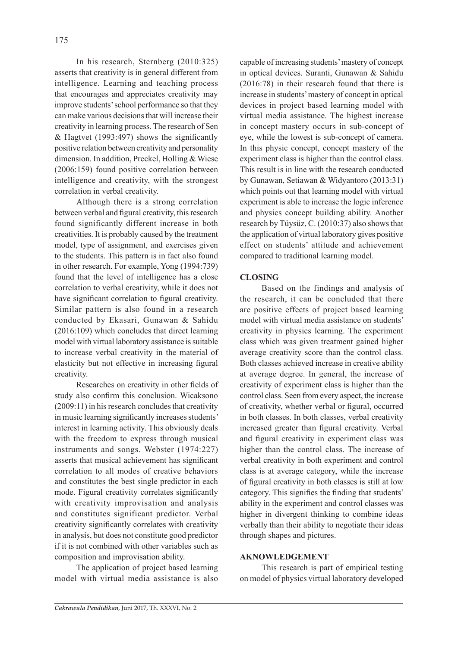In his research, Sternberg (2010:325) asserts that creativity is in general different from intelligence. Learning and teaching process that encourages and appreciates creativity may improve students' school performance so that they can make various decisions that will increase their creativity in learning process. The research of Sen & Hagtvet (1993:497) shows the significantly positive relation between creativity and personality dimension. In addition, Preckel, Holling & Wiese (2006:159) found positive correlation between intelligence and creativity, with the strongest correlation in verbal creativity.

Although there is a strong correlation between verbal and figural creativity, this research found significantly different increase in both creativities. It is probably caused by the treatment model, type of assignment, and exercises given to the students. This pattern is in fact also found in other research. For example, Yong (1994:739) found that the level of intelligence has a close correlation to verbal creativity, while it does not have significant correlation to figural creativity. Similar pattern is also found in a research conducted by Ekasari, Gunawan & Sahidu (2016:109) which concludes that direct learning model with virtual laboratory assistance is suitable to increase verbal creativity in the material of elasticity but not effective in increasing figural creativity.

Researches on creativity in other fields of study also confirm this conclusion. Wicaksono (2009:11) in his research concludes that creativity in music learning significantly increases students' interest in learning activity. This obviously deals with the freedom to express through musical instruments and songs. Webster (1974:227) asserts that musical achievement has significant correlation to all modes of creative behaviors and constitutes the best single predictor in each mode. Figural creativity correlates significantly with creativity improvisation and analysis and constitutes significant predictor. Verbal creativity significantly correlates with creativity in analysis, but does not constitute good predictor if it is not combined with other variables such as composition and improvisation ability.

The application of project based learning model with virtual media assistance is also capable of increasing students' mastery of concept in optical devices. Suranti, Gunawan & Sahidu (2016:78) in their research found that there is increase in students' mastery of concept in optical devices in project based learning model with virtual media assistance. The highest increase in concept mastery occurs in sub-concept of eye, while the lowest is sub-concept of camera. In this physic concept, concept mastery of the experiment class is higher than the control class. This result is in line with the research conducted by Gunawan, Setiawan & Widyantoro (2013:31) which points out that learning model with virtual experiment is able to increase the logic inference and physics concept building ability. Another research by Tüysüz, C. (2010:37) also shows that the application of virtual laboratory gives positive effect on students' attitude and achievement compared to traditional learning model.

# **CLOSING**

Based on the findings and analysis of the research, it can be concluded that there are positive effects of project based learning model with virtual media assistance on students' creativity in physics learning. The experiment class which was given treatment gained higher average creativity score than the control class. Both classes achieved increase in creative ability at average degree. In general, the increase of creativity of experiment class is higher than the control class. Seen from every aspect, the increase of creativity, whether verbal or figural, occurred in both classes. In both classes, verbal creativity increased greater than figural creativity. Verbal and figural creativity in experiment class was higher than the control class. The increase of verbal creativity in both experiment and control class is at average category, while the increase of figural creativity in both classes is still at low category. This signifies the finding that students' ability in the experiment and control classes was higher in divergent thinking to combine ideas verbally than their ability to negotiate their ideas through shapes and pictures.

## **AKNOWLEDGEMENT**

This research is part of empirical testing on model of physics virtual laboratory developed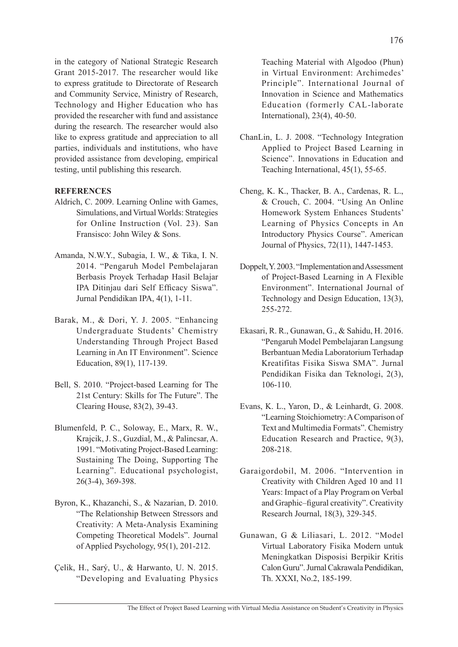in the category of National Strategic Research Grant 2015-2017. The researcher would like to express gratitude to Directorate of Research and Community Service, Ministry of Research, Technology and Higher Education who has provided the researcher with fund and assistance during the research. The researcher would also like to express gratitude and appreciation to all parties, individuals and institutions, who have provided assistance from developing, empirical testing, until publishing this research.

## **REFERENCES**

- Aldrich, C. 2009. Learning Online with Games, Simulations, and Virtual Worlds: Strategies for Online Instruction (Vol. 23). San Fransisco: John Wiley & Sons.
- Amanda, N.W.Y., Subagia, I. W., & Tika, I. N. 2014. "Pengaruh Model Pembelajaran Berbasis Proyek Terhadap Hasil Belajar IPA Ditinjau dari Self Efficacy Siswa". Jurnal Pendidikan IPA, 4(1), 1-11.
- Barak, M., & Dori, Y. J. 2005. "Enhancing Undergraduate Students' Chemistry Understanding Through Project Based Learning in An IT Environment". Science Education, 89(1), 117-139.
- Bell, S. 2010. "Project-based Learning for The 21st Century: Skills for The Future". The Clearing House, 83(2), 39-43.
- Blumenfeld, P. C., Soloway, E., Marx, R. W., Krajcik, J. S., Guzdial, M., & Palincsar, A. 1991. "Motivating Project-Based Learning: Sustaining The Doing, Supporting The Learning". Educational psychologist, 26(3-4), 369-398.
- Byron, K., Khazanchi, S., & Nazarian, D. 2010. "The Relationship Between Stressors and Creativity: A Meta-Analysis Examining Competing Theoretical Models". Journal of Applied Psychology, 95(1), 201-212.
- Çelik, H., Sarý, U., & Harwanto, U. N. 2015. "Developing and Evaluating Physics

Teaching Material with Algodoo (Phun) in Virtual Environment: Archimedes' Principle". International Journal of Innovation in Science and Mathematics Education (formerly CAL-laborate International), 23(4), 40-50.

- ChanLin, L. J. 2008. "Technology Integration Applied to Project Based Learning in Science". Innovations in Education and Teaching International, 45(1), 55-65.
- Cheng, K. K., Thacker, B. A., Cardenas, R. L., & Crouch, C. 2004. "Using An Online Homework System Enhances Students' Learning of Physics Concepts in An Introductory Physics Course". American Journal of Physics, 72(11), 1447-1453.
- Doppelt, Y. 2003. "Implementation and Assessment of Project-Based Learning in A Flexible Environment". International Journal of Technology and Design Education, 13(3), 255-272.
- Ekasari, R. R., Gunawan, G., & Sahidu, H. 2016. "Pengaruh Model Pembelajaran Langsung Berbantuan Media Laboratorium Terhadap Kreatifitas Fisika Siswa SMA". Jurnal Pendidikan Fisika dan Teknologi, 2(3), 106-110.
- Evans, K. L., Yaron, D., & Leinhardt, G. 2008. "Learning Stoichiometry: A Comparison of Text and Multimedia Formats". Chemistry Education Research and Practice, 9(3), 208-218.
- Garaigordobil, M. 2006. "Intervention in Creativity with Children Aged 10 and 11 Years: Impact of a Play Program on Verbal and Graphic–figural creativity". Creativity Research Journal, 18(3), 329-345.
- Gunawan, G & Liliasari, L. 2012. "Model Virtual Laboratory Fisika Modern untuk Meningkatkan Disposisi Berpikir Kritis Calon Guru". Jurnal Cakrawala Pendidikan, Th. XXXI, No.2, 185-199.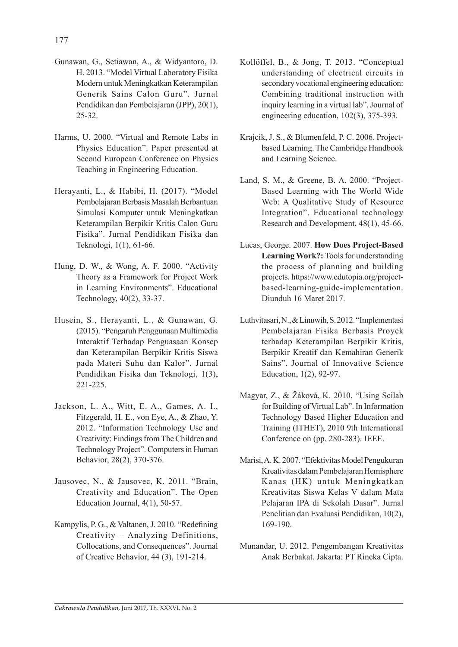- Gunawan, G., Setiawan, A., & Widyantoro, D. H. 2013. "Model Virtual Laboratory Fisika Modern untuk Meningkatkan Keterampilan Generik Sains Calon Guru". Jurnal Pendidikan dan Pembelajaran (JPP), 20(1), 25-32.
- Harms, U. 2000. "Virtual and Remote Labs in Physics Education". Paper presented at Second European Conference on Physics Teaching in Engineering Education.
- Herayanti, L., & Habibi, H. (2017). "Model Pembelajaran Berbasis Masalah Berbantuan Simulasi Komputer untuk Meningkatkan Keterampilan Berpikir Kritis Calon Guru Fisika". Jurnal Pendidikan Fisika dan Teknologi, 1(1), 61-66.
- Hung, D. W., & Wong, A. F. 2000. "Activity Theory as a Framework for Project Work in Learning Environments". Educational Technology, 40(2), 33-37.
- Husein, S., Herayanti, L., & Gunawan, G. (2015). "Pengaruh Penggunaan Multimedia Interaktif Terhadap Penguasaan Konsep dan Keterampilan Berpikir Kritis Siswa pada Materi Suhu dan Kalor". Jurnal Pendidikan Fisika dan Teknologi, 1(3), 221-225.
- Jackson, L. A., Witt, E. A., Games, A. I., Fitzgerald, H. E., von Eye, A., & Zhao, Y. 2012. "Information Technology Use and Creativity: Findings from The Children and Technology Project". Computers in Human Behavior, 28(2), 370-376.
- Jausovec, N., & Jausovec, K. 2011. "Brain, Creativity and Education". The Open Education Journal, 4(1), 50-57.
- Kampylis, P. G., & Valtanen, J. 2010. "Redefining Creativity – Analyzing Definitions, Collocations, and Consequences". Journal of Creative Behavior, 44 (3), 191-214.
- Kollöffel, B., & Jong, T. 2013. "Conceptual understanding of electrical circuits in secondary vocational engineering education: Combining traditional instruction with inquiry learning in a virtual lab". Journal of engineering education, 102(3), 375-393.
- Krajcik, J. S., & Blumenfeld, P. C. 2006. Projectbased Learning. The Cambridge Handbook and Learning Science.
- Land, S. M., & Greene, B. A. 2000. "Project-Based Learning with The World Wide Web: A Qualitative Study of Resource Integration". Educational technology Research and Development, 48(1), 45-66.
- Lucas, George. 2007. **How Does Project-Based**  Learning Work?: Tools for understanding the process of planning and building projects. https://www.edutopia.org/projectbased-learning-guide-implementation. Diunduh 16 Maret 2017.
- Luthvitasari, N., & Linuwih, S. 2012. "Implementasi Pembelajaran Fisika Berbasis Proyek terhadap Keterampilan Berpikir Kritis, Berpikir Kreatif dan Kemahiran Generik Sains". Journal of Innovative Science Education, 1(2), 92-97.
- Magyar, Z., & Žáková, K. 2010. "Using Scilab for Building of Virtual Lab". In Information Technology Based Higher Education and Training (ITHET), 2010 9th International Conference on (pp. 280-283). IEEE.
- Marisi, A. K. 2007. "Efektivitas Model Pengukuran Kreativitas dalam Pembelajaran Hemisphere Kanas (HK) untuk Meningkatkan Kreativitas Siswa Kelas V dalam Mata Pelajaran IPA di Sekolah Dasar". Jurnal Penelitian dan Evaluasi Pendidikan, 10(2), 169-190.
- Munandar, U. 2012. Pengembangan Kreativitas Anak Berbakat. Jakarta: PT Rineka Cipta.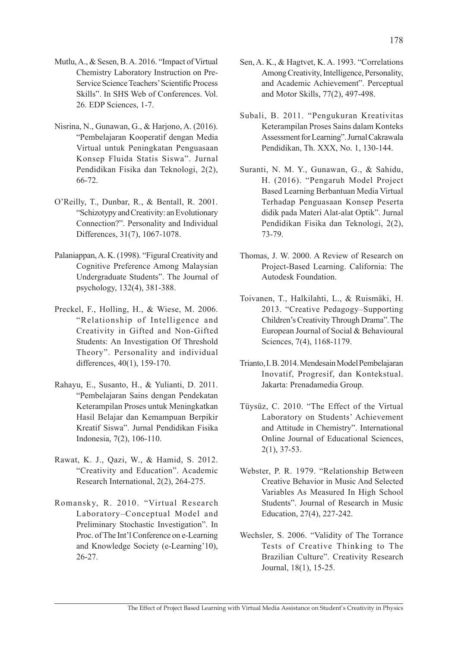- Mutlu, A., & Sesen, B. A. 2016. "Impact of Virtual Chemistry Laboratory Instruction on Pre-Service Science Teachers' Scientific Process Skills". In SHS Web of Conferences. Vol. 26. EDP Sciences, 1-7.
- Nisrina, N., Gunawan, G., & Harjono, A. (2016). "Pembelajaran Kooperatif dengan Media Virtual untuk Peningkatan Penguasaan Konsep Fluida Statis Siswa". Jurnal Pendidikan Fisika dan Teknologi, 2(2), 66-72.
- O'Reilly, T., Dunbar, R., & Bentall, R. 2001. "Schizotypy and Creativity: an Evolutionary Connection?". Personality and Individual Differences, 31(7), 1067-1078.
- Palaniappan, A. K. (1998). "Figural Creativity and Cognitive Preference Among Malaysian Undergraduate Students". The Journal of psychology, 132(4), 381-388.
- Preckel, F., Holling, H., & Wiese, M. 2006. "Relationship of Intelligence and Creativity in Gifted and Non-Gifted Students: An Investigation Of Threshold Theory". Personality and individual differences, 40(1), 159-170.
- Rahayu, E., Susanto, H., & Yulianti, D. 2011. "Pembelajaran Sains dengan Pendekatan Keterampilan Proses untuk Meningkatkan Hasil Belajar dan Kemampuan Berpikir Kreatif Siswa". Jurnal Pendidikan Fisika Indonesia, 7(2), 106-110.
- Rawat, K. J., Qazi, W., & Hamid, S. 2012. "Creativity and Education". Academic Research International, 2(2), 264-275.
- Romansky, R. 2010. "Virtual Research Laboratory–Conceptual Model and Preliminary Stochastic Investigation". In Proc. of The Int'l Conference on e-Learning and Knowledge Society (e-Learning'10), 26-27.
- Sen, A. K., & Hagtvet, K. A. 1993. "Correlations Among Creativity, Intelligence, Personality, and Academic Achievement". Perceptual and Motor Skills, 77(2), 497-498.
- Subali, B. 2011. "Pengukuran Kreativitas Keterampilan Proses Sains dalam Konteks Assessment for Learning".Jurnal Cakrawala Pendidikan, Th. XXX, No. 1, 130-144.
- Suranti, N. M. Y., Gunawan, G., & Sahidu, H. (2016). "Pengaruh Model Project Based Learning Berbantuan Media Virtual Terhadap Penguasaan Konsep Peserta didik pada Materi Alat-alat Optik". Jurnal Pendidikan Fisika dan Teknologi, 2(2), 73-79.
- Thomas, J. W. 2000. A Review of Research on Project-Based Learning. California: The Autodesk Foundation.
- Toivanen, T., Halkilahti, L., & Ruismäki, H. 2013. "Creative Pedagogy–Supporting Children's Creativity Through Drama".The European Journal of Social & Behavioural Sciences, 7(4), 1168-1179.
- Trianto, I. B. 2014. Mendesain Model Pembelajaran Inovatif, Progresif, dan Kontekstual. Jakarta: Prenadamedia Group.
- Tüysüz, C. 2010. "The Effect of the Virtual Laboratory on Students' Achievement and Attitude in Chemistry". International Online Journal of Educational Sciences, 2(1), 37-53.
- Webster, P. R. 1979. "Relationship Between Creative Behavior in Music And Selected Variables As Measured In High School Students". Journal of Research in Music Education, 27(4), 227-242.
- Wechsler, S. 2006. "Validity of The Torrance Tests of Creative Thinking to The Brazilian Culture". Creativity Research Journal, 18(1), 15-25.